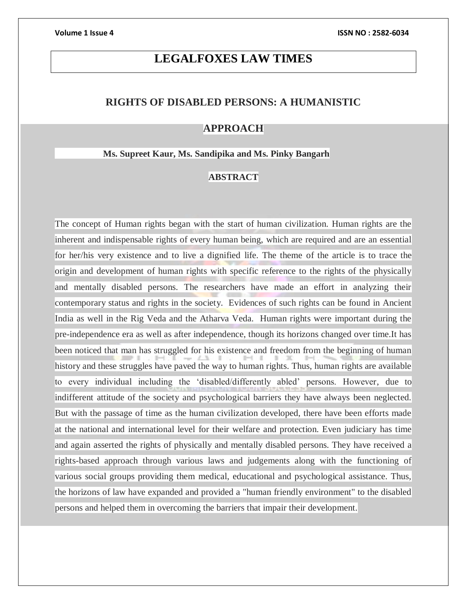# **LEGALFOXES LAW TIMES**

# **RIGHTS OF DISABLED PERSONS: A HUMANISTIC**

## **APPROACH**

### **Ms. Supreet Kaur, Ms. Sandipika and Ms. Pinky Bangarh**

# **ABSTRACT**

The concept of Human rights began with the start of human civilization. Human rights are the inherent and indispensable rights of every human being, which are required and are an essential for her/his very existence and to live a dignified life. The theme of the article is to trace the origin and development of human rights with specific reference to the rights of the physically and mentally disabled persons. The researchers have made an effort in analyzing their contemporary status and rights in the society. Evidences of such rights can be found in Ancient India as well in the Rig Veda and the Atharva Veda. Human rights were important during the pre-independence era as well as after independence, though its horizons changed over time.It has been noticed that man has struggled for his existence and freedom from the beginning of human history and these struggles have paved the way to human rights. Thus, human rights are available to every individual including the 'disabled/differently abled' persons. However, due to indifferent attitude of the society and psychological barriers they have always been neglected. But with the passage of time as the human civilization developed, there have been efforts made at the national and international level for their welfare and protection. Even judiciary has time and again asserted the rights of physically and mentally disabled persons. They have received a rights-based approach through various laws and judgements along with the functioning of various social groups providing them medical, educational and psychological assistance. Thus, the horizons of law have expanded and provided a "human friendly environment" to the disabled persons and helped them in overcoming the barriers that impair their development.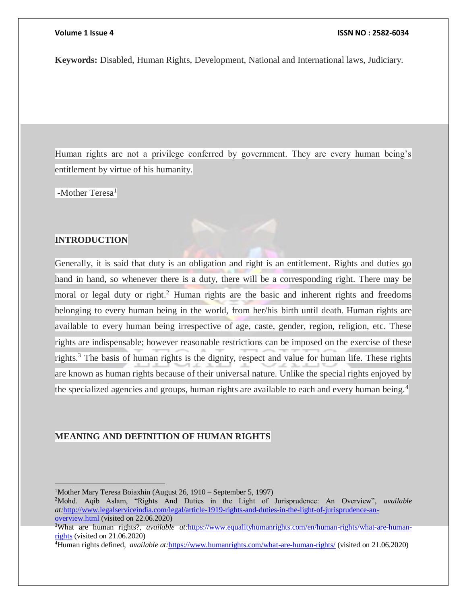**Keywords:** Disabled, Human Rights, Development, National and International laws, Judiciary.

Human rights are not a privilege conferred by government. They are every human being's entitlement by virtue of his humanity.

 $-Mother Teresa<sup>1</sup>$ 

### **INTRODUCTION**

 $\overline{a}$ 

Generally, it is said that duty is an obligation and right is an entitlement. Rights and duties go hand in hand, so whenever there is a duty, there will be a corresponding right. There may be moral or legal duty or right.<sup>2</sup> Human rights are the basic and inherent rights and freedoms belonging to every human being in the world, from her/his birth until death. Human rights are available to every human being irrespective of age, caste, gender, region, religion, etc. These rights are indispensable; however reasonable restrictions can be imposed on the exercise of these rights.<sup>3</sup> The basis of human rights is the dignity, respect and value for human life. These rights are known as human rights because of their universal nature. Unlike the special rights enjoyed by the specialized agencies and groups, human rights are available to each and every human being.<sup>4</sup>

### **MEANING AND DEFINITION OF HUMAN RIGHTS**

<sup>2</sup>Mohd. Aqib Aslam, "Rights And Duties in the Light of Jurisprudence: An Overview", *available at:*[http://www.legalserviceindia.com/legal/article-1919-rights-and-duties-in-the-light-of-jurisprudence-an](http://www.legalserviceindia.com/legal/article-1919-rights-and-duties-in-the-light-of-jurisprudence-an-overview.html)[overview.html](http://www.legalserviceindia.com/legal/article-1919-rights-and-duties-in-the-light-of-jurisprudence-an-overview.html) (visited on 22.06.2020)

<sup>1</sup>Mother Mary Teresa Boiaxhin (August 26, 1910 – September 5, 1997)

<sup>3</sup>What are human rights?, *available at:*[https://www.equalityhumanrights.com/en/human-rights/what-are-human](https://www.equalityhumanrights.com/en/human-rights/what-are-human-rights)[rights](https://www.equalityhumanrights.com/en/human-rights/what-are-human-rights) (visited on 21.06.2020)

<sup>4</sup>Human rights defined, *available at:*<https://www.humanrights.com/what-are-human-rights/> (visited on 21.06.2020)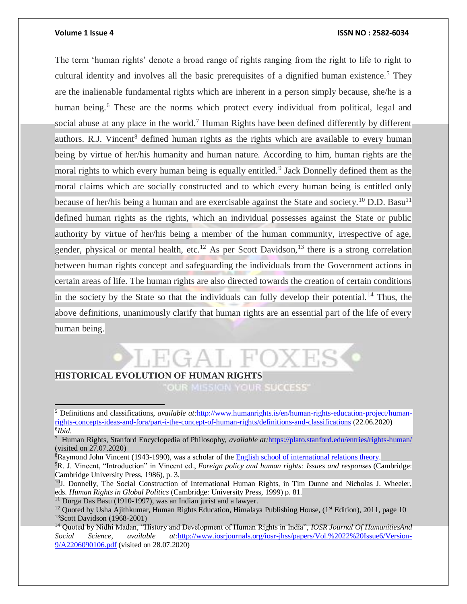### **Volume 1 Issue 4 ISSN NO : 2582-6034**

The term 'human rights' denote a broad range of rights ranging from the right to life to right to cultural identity and involves all the basic prerequisites of a dignified human existence.<sup>5</sup> They are the inalienable fundamental rights which are inherent in a person simply because, she/he is a human being.<sup>6</sup> These are the norms which protect every individual from political, legal and social abuse at any place in the world.<sup>7</sup> Human Rights have been defined differently by different authors. R.J. Vincent<sup>8</sup> defined human rights as the rights which are available to every human being by virtue of her/his humanity and human nature. According to him, human rights are the moral rights to which every human being is equally entitled.<sup>9</sup> Jack Donnelly defined them as the moral claims which are socially constructed and to which every human being is entitled only because of her/his being a human and are exercisable against the State and society.<sup>10</sup> D.D. Basu<sup>11</sup> defined human rights as the rights, which an individual possesses against the State or public authority by virtue of her/his being a member of the human community, irrespective of age, gender, physical or mental health, etc.<sup>12</sup> As per Scott Davidson,<sup>13</sup> there is a strong correlation between human rights concept and safeguarding the individuals from the Government actions in certain areas of life. The human rights are also directed towards the creation of certain conditions in the society by the State so that the individuals can fully develop their potential. <sup>14</sup> Thus, the above definitions, unanimously clarify that human rights are an essential part of the life of every human being.

# **HISTORICAL EVOLUTION OF HUMAN RIGHTS**

OUR MISSION YOUR SUCCESS'

<sup>5</sup> Definitions and classifications, *available at:*[http://www.humanrights.is/en/human-rights-education-project/human](http://www.humanrights.is/en/human-rights-education-project/human-rights-concepts-ideas-and-fora/part-i-the-concept-of-human-rights/definitions-and-classifications)[rights-concepts-ideas-and-fora/part-i-the-concept-of-human-rights/definitions-and-classifications](http://www.humanrights.is/en/human-rights-education-project/human-rights-concepts-ideas-and-fora/part-i-the-concept-of-human-rights/definitions-and-classifications) (22.06.2020) 6 *Ibid*.

<sup>7</sup> Human Rights, Stanford Encyclopedia of Philosophy, *available at:*<https://plato.stanford.edu/entries/rights-human/> (visited on 27.07.2020)

<sup>&</sup>lt;sup>8</sup>Raymond John Vincent (1943-1990), was a scholar of the **English school of international relations theory**.

<sup>9</sup>R. J. Vincent, "Introduction" in Vincent ed., *Foreign policy and human rights: Issues and responses* (Cambridge: Cambridge University Press, 1986), p. 3.

 $^{10}$ J. Donnelly, The Social Construction of International Human Rights, in Tim Dunne and Nicholas J. Wheeler, eds. *Human Rights in Global Politics* (Cambridge: University Press, 1999) p. 81.

 $11$  Durga Das Basu (1910-1997), was an Indian jurist and a lawyer.

<sup>&</sup>lt;sup>12</sup> Quoted by Usha Ajithkumar, Human Rights Education, Himalaya Publishing House,  $(1<sup>st</sup> Edition)$ , 2011, page 10 <sup>13</sup>Scott Davidson (1968-2001)

<sup>14</sup> Quoted by Nidhi Madan, "History and Development of Human Rights in India", *IOSR Journal Of HumanitiesAnd Social Science*, *available at:*[http://www.iosrjournals.org/iosr-jhss/papers/Vol.%2022%20Issue6/Version-](http://www.iosrjournals.org/iosr-jhss/papers/Vol.%2022%20Issue6/Version-9/A2206090106.pdf)[9/A2206090106.pdf](http://www.iosrjournals.org/iosr-jhss/papers/Vol.%2022%20Issue6/Version-9/A2206090106.pdf) (visited on 28.07.2020)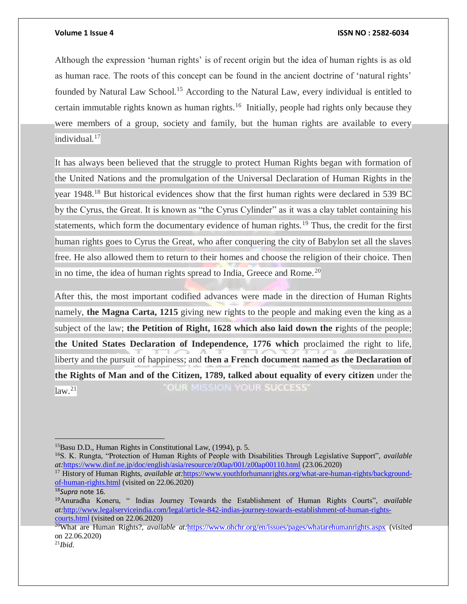Although the expression 'human rights' is of recent origin but the idea of human rights is as old as human race. The roots of this concept can be found in the ancient doctrine of 'natural rights' founded by Natural Law School.<sup>15</sup> According to the Natural Law, every individual is entitled to certain immutable rights known as human rights.<sup>16</sup> Initially, people had rights only because they were members of a group, society and family, but the human rights are available to every individual.<sup>17</sup>

It has always been believed that the struggle to protect Human Rights began with formation of the United Nations and the promulgation of the Universal Declaration of Human Rights in the year 1948.<sup>18</sup> But historical evidences show that the first human rights were declared in 539 BC by the Cyrus, the Great. It is known as "the Cyrus Cylinder" as it was a clay tablet containing his statements, which form the documentary evidence of human rights.<sup>19</sup> Thus, the credit for the first human rights goes to Cyrus the Great, who after conquering the city of Babylon set all the slaves free. He also allowed them to return to their homes and choose the religion of their choice. Then in no time, the idea of human rights spread to India, Greece and Rome.<sup>20</sup>

After this, the most important codified advances were made in the direction of Human Rights namely, **the Magna Carta, 1215** giving new rights to the people and making even the king as a subject of the law; **the Petition of Right, 1628 which also laid down the r**ights of the people; **the United States Declaration of Independence, 1776 which** proclaimed the right to life, liberty and the pursuit of happiness; and **then a French document named as the Declaration of the Rights of Man and of the Citizen, 1789, talked about equality of every citizen** under the "OUR MISSION YOUR SUCCESS"  $\left|\mathrm{law.}^{21}\right|$ 

<sup>15</sup>Basu D.D., Human Rights in Constitutional Law, (1994), p. 5.

<sup>16</sup>S. K. Rungta, "Protection of Human Rights of People with Disabilities Through Legislative Support", *available at:*<https://www.dinf.ne.jp/doc/english/asia/resource/z00ap/001/z00ap00110.html> (23.06.2020)

<sup>&</sup>lt;sup>17</sup> History of Human Rights, *available at:[https://www.youthforhumanrights.org/what-are-human-rights/background](https://www.youthforhumanrights.org/what-are-human-rights/background-of-human-rights.html)*[of-human-rights.html](https://www.youthforhumanrights.org/what-are-human-rights/background-of-human-rights.html) (visited on 22.06.2020)

<sup>18</sup>*Supra* note 16.

<sup>19</sup>Anuradha Koneru, " Indias Journey Towards the Establishment of Human Rights Courts", *available at:*[http://www.legalserviceindia.com/legal/article-842-indias-journey-towards-establishment-of-human-rights](http://www.legalserviceindia.com/legal/article-842-indias-journey-towards-establishment-of-human-rights-courts.html)[courts.html](http://www.legalserviceindia.com/legal/article-842-indias-journey-towards-establishment-of-human-rights-courts.html) (visited on 22.06.2020)

<sup>20</sup>What are Human Rights?, *available at:*<https://www.ohchr.org/en/issues/pages/whatarehumanrights.aspx> (visited on 22.06.2020)

<sup>21</sup>*Ibid.*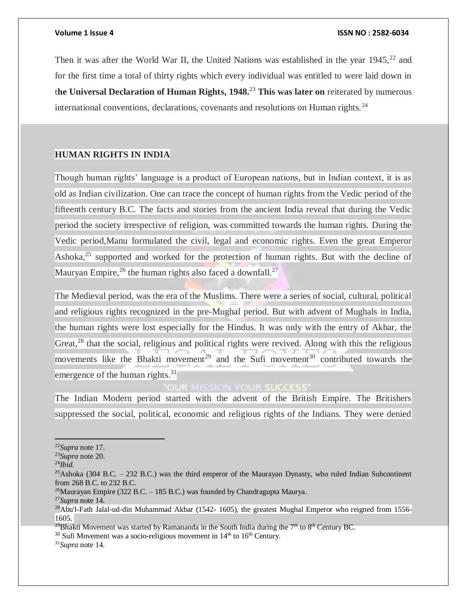Then it was after the World War II, the United Nations was established in the year  $1945$ ,  $22$  and for the first time a total of thirty rights which every individual was entitled to were laid down in t**he Universal Declaration of Human Rights, 1948.**<sup>23</sup> **This was later on** reiterated by numerous international conventions, declarations, covenants and resolutions on Human rights.<sup>24</sup>

### **HUMAN RIGHTS IN INDIA**

Though human rights' language is a product of European nations, but in Indian context, it is as old as Indian civilization. One can trace the concept of human rights from the Vedic period of the fifteenth century B.C. The facts and stories from the ancient India reveal that during the Vedic period the society irrespective of religion, was committed towards the human rights. During the Vedic period,Manu formulated the civil, legal and economic rights. Even the great Emperor Ashoka,<sup>25</sup> supported and worked for the protection of human rights. But with the decline of Mauryan Empire,<sup>26</sup> the human rights also faced a downfall.<sup>27</sup>

The Medieval period, was the era of the Muslims. There were a series of social, cultural, political and religious rights recognized in the pre-Mughal period. But with advent of Mughals in India, the human rights were lost especially for the Hindus. It was only with the entry of Akbar, the Great,<sup>28</sup> that the social, religious and political rights were revived. Along with this the religious movements like the Bhakti movement<sup>29</sup> and the Sufi movement<sup>30</sup> contributed towards the emergence of the human rights.<sup>31</sup>

# **OUR MISSION YOUR SUCCESS'**

The Indian Modern period started with the advent of the British Empire. The Britishers suppressed the social, political, economic and religious rights of the Indians. They were denied

 $\overline{a}$ 

 $30$  Sufi Movement was a socio-religious movement in  $14<sup>th</sup>$  to  $16<sup>th</sup>$  Century.

<sup>22</sup>*Supra* note 17.

<sup>23</sup>*Supra* note 20.

<sup>24</sup>*Ibid.*

<sup>&</sup>lt;sup>25</sup>Ashoka (304 B.C. – 232 B.C.) was the third emperor of the Maurayan Dynasty, who ruled Indian Subcontinent from 268 B.C. to 232 B.C.

<sup>&</sup>lt;sup>26</sup>Maurayan Empire (322 B.C. – 185 B.C.) was founded by Chandragupta Maurya.

<sup>27</sup>*Supra* note 14.

<sup>&</sup>lt;sup>28</sup>Abu'l-Fath Jalal-ud-din Muhammad Akbar (1542- 1605), the greatest Mughal Emperor who reigned from 1556-1605.

<sup>&</sup>lt;sup>29</sup>Bhakti Movement was started by Ramananda in the South India during the 7<sup>th</sup> to 8<sup>th</sup> Century BC.

<sup>31</sup>*Supra* note 14.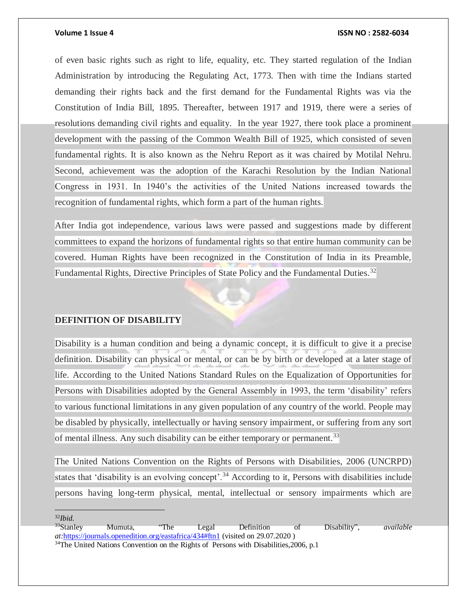of even basic rights such as right to life, equality, etc. They started regulation of the Indian Administration by introducing the Regulating Act, 1773. Then with time the Indians started demanding their rights back and the first demand for the Fundamental Rights was via the Constitution of India Bill, 1895. Thereafter, between 1917 and 1919, there were a series of resolutions demanding civil rights and equality. In the year 1927, there took place a prominent development with the passing of the Common Wealth Bill of 1925, which consisted of seven fundamental rights. It is also known as the Nehru Report as it was chaired by Motilal Nehru. Second, achievement was the adoption of the Karachi Resolution by the Indian National Congress in 1931. In 1940's the activities of the United Nations increased towards the recognition of fundamental rights, which form a part of the human rights.

After India got independence, various laws were passed and suggestions made by different committees to expand the horizons of fundamental rights so that entire human community can be covered. Human Rights have been recognized in the Constitution of India in its Preamble, Fundamental Rights, Directive Principles of State Policy and the Fundamental Duties.<sup>32</sup>

### **DEFINITION OF DISABILITY**

Disability is a human condition and being a dynamic concept, it is difficult to give it a precise definition. Disability can physical or mental, or can be by birth or developed at a later stage of life. According to the United Nations Standard Rules on the Equalization of Opportunities for Persons with Disabilities adopted by the General Assembly in 1993, the term 'disability' refers to various functional limitations in any given population of any country of the world. People may be disabled by physically, intellectually or having sensory impairment, or suffering from any sort of mental illness. Any such disability can be either temporary or permanent.<sup>33</sup>

The United Nations Convention on the Rights of Persons with Disabilities, 2006 (UNCRPD) states that 'disability is an evolving concept'.<sup>34</sup> According to it, Persons with disabilities include persons having long-term physical, mental, intellectual or sensory impairments which are

<sup>32</sup>*Ibid.*

<sup>33</sup>Stanley Mumuta, "The Legal Definition of Disability", *available at:*<https://journals.openedition.org/eastafrica/434#ftn1> (visited on 29.07.2020 )

<sup>&</sup>lt;sup>34</sup>The United Nations Convention on the Rights of Persons with Disabilities, 2006, p.1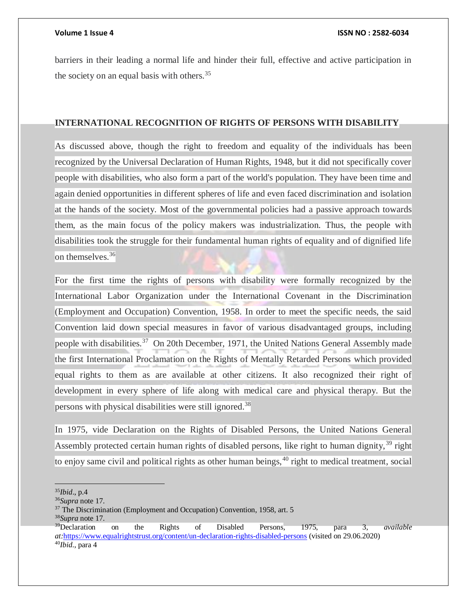barriers in their leading a normal life and hinder their full, effective and active participation in the society on an equal basis with others.<sup>35</sup>

### **INTERNATIONAL RECOGNITION OF RIGHTS OF PERSONS WITH DISABILITY**

As discussed above, though the right to freedom and equality of the individuals has been recognized by the Universal Declaration of Human Rights, 1948, but it did not specifically cover people with disabilities, who also form a part of the world's population. They have been time and again denied opportunities in different spheres of life and even faced discrimination and isolation at the hands of the society. Most of the governmental policies had a passive approach towards them, as the main focus of the policy makers was industrialization. Thus, the people with disabilities took the struggle for their fundamental human rights of equality and of dignified life on themselves.<sup>36</sup>

For the first time the rights of persons with disability were formally recognized by the International Labor Organization under the International Covenant in the Discrimination (Employment and Occupation) Convention, 1958. In order to meet the specific needs, the said Convention laid down special measures in favor of various disadvantaged groups, including people with disabilities.<sup>37</sup> On 20th December, 1971, the United Nations General Assembly made the first International Proclamation on the Rights of Mentally Retarded Persons which provided equal rights to them as are available at other citizens. It also recognized their right of development in every sphere of life along with medical care and physical therapy. But the persons with physical disabilities were still ignored.<sup>38</sup>

In 1975, vide Declaration on the Rights of Disabled Persons, the United Nations General Assembly protected certain human rights of disabled persons, like right to human dignity,<sup>39</sup> right to enjoy same civil and political rights as other human beings,<sup>40</sup> right to medical treatment, social

 $\overline{a}$ <sup>35</sup>*Ibid*., p.4

<sup>36</sup>*Supra* note 17.

<sup>&</sup>lt;sup>37</sup> The Discrimination (Employment and Occupation) Convention, 1958, art. 5 <sup>38</sup>*Supra* note 17.

<sup>39</sup>Declaration on the Rights of Disabled Persons, 1975, para 3, *available at:*<https://www.equalrightstrust.org/content/un-declaration-rights-disabled-persons> (visited on 29.06.2020) 40*Ibid.*, para 4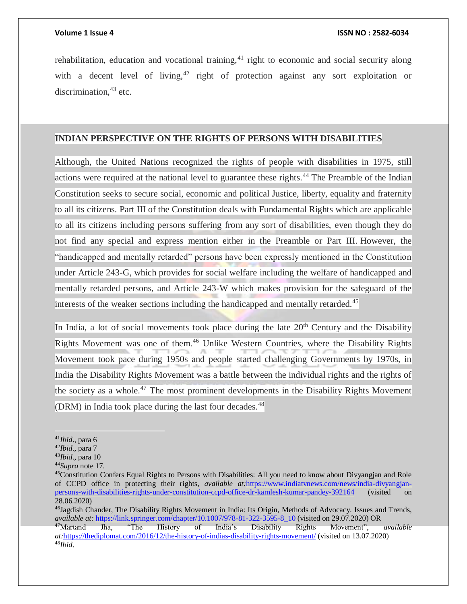rehabilitation, education and vocational training,  $41$  right to economic and social security along with a decent level of living,  $42$  right of protection against any sort exploitation or discrimination,  $43$  etc.

### **INDIAN PERSPECTIVE ON THE RIGHTS OF PERSONS WITH DISABILITIES**

Although, the United Nations recognized the rights of people with disabilities in 1975, still actions were required at the national level to guarantee these rights.<sup>44</sup> The Preamble of the Indian Constitution seeks to secure social, economic and political Justice, liberty, equality and fraternity to all its citizens. Part III of the Constitution deals with Fundamental Rights which are applicable to all its citizens including persons suffering from any sort of disabilities, even though they do not find any special and express mention either in the Preamble or Part III. However, the "handicapped and mentally retarded" persons have been expressly mentioned in the Constitution under Article 243-G, which provides for social welfare including the welfare of handicapped and mentally retarded persons, and Article 243-W which makes provision for the safeguard of the interests of the weaker sections including the handicapped and mentally retarded.<sup>45</sup>

In India, a lot of social movements took place during the late  $20<sup>th</sup>$  Century and the Disability Rights Movement was one of them.<sup>46</sup> Unlike Western Countries, where the Disability Rights Movement took pace during 1950s and people started challenging Governments by 1970s, in India the Disability Rights Movement was a battle between the individual rights and the rights of the society as a whole.<sup>47</sup> The most prominent developments in the Disability Rights Movement (DRM) in India took place during the last four decades. $48$ 

<sup>46</sup>Jagdish Chander, The Disability Rights Movement in India: Its Origin, Methods of Advocacy. Issues and Trends, *available at:* [https://link.springer.com/chapter/10.1007/978-81-322-3595-8\\_10](https://link.springer.com/chapter/10.1007/978-81-322-3595-8_10) (visited on 29.07.2020) OR<br><sup>47</sup>Martand Jha, "The History of India's Disability Rights Movement",

<sup>41</sup>*Ibid*., para 6

<sup>42</sup>*Ibid*., para 7

<sup>43</sup>*Ibid*., para 10

<sup>44</sup>*Supra* note 17.

<sup>45</sup>Constitution Confers Equal Rights to Persons with Disabilities: All you need to know about Divyangjan and Role of CCPD office in protecting their rights, *available at:*[https://www.indiatvnews.com/news/india-divyangjan](https://www.indiatvnews.com/news/india-divyangjan-persons-with-disabilities-rights-under-constitution-ccpd-office-dr-kamlesh-kumar-pandey-392164)[persons-with-disabilities-rights-under-constitution-ccpd-office-dr-kamlesh-kumar-pandey-392164](https://www.indiatvnews.com/news/india-divyangjan-persons-with-disabilities-rights-under-constitution-ccpd-office-dr-kamlesh-kumar-pandey-392164) (visited on 28.06.2020)

<sup>47</sup>Martand Jha, "The History of India's Disability Rights Movement", *available at:*<https://thediplomat.com/2016/12/the-history-of-indias-disability-rights-movement/> (visited on 13.07.2020) 48*Ibid*.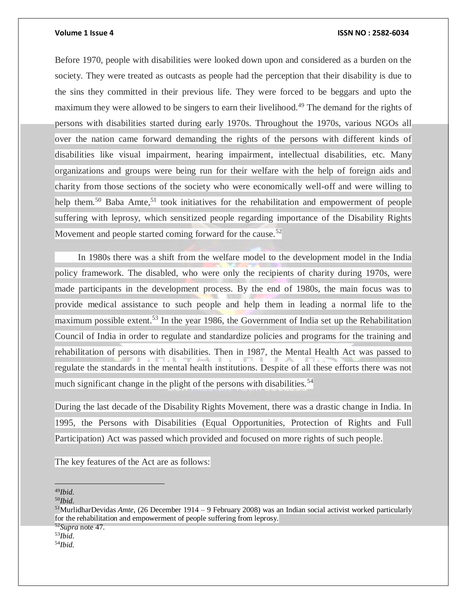Before 1970, people with disabilities were looked down upon and considered as a burden on the society. They were treated as outcasts as people had the perception that their disability is due to the sins they committed in their previous life. They were forced to be beggars and upto the maximum they were allowed to be singers to earn their livelihood.<sup>49</sup> The demand for the rights of persons with disabilities started during early 1970s. Throughout the 1970s, various NGOs all over the nation came forward demanding the rights of the persons with different kinds of disabilities like visual impairment, hearing impairment, intellectual disabilities, etc. Many organizations and groups were being run for their welfare with the help of foreign aids and charity from those sections of the society who were economically well-off and were willing to help them.<sup>50</sup> Baba Amte,<sup>51</sup> took initiatives for the rehabilitation and empowerment of people suffering with leprosy, which sensitized people regarding importance of the Disability Rights Movement and people started coming forward for the cause.<sup>52</sup>

 In 1980s there was a shift from the welfare model to the development model in the India policy framework. The disabled, who were only the recipients of charity during 1970s, were made participants in the development process. By the end of 1980s, the main focus was to provide medical assistance to such people and help them in leading a normal life to the maximum possible extent.<sup>53</sup> In the year 1986, the Government of India set up the Rehabilitation Council of India in order to regulate and standardize policies and programs for the training and rehabilitation of persons with disabilities. Then in 1987, the Mental Health Act was passed to regulate the standards in the mental health institutions. Despite of all these efforts there was not much significant change in the plight of the persons with disabilities.<sup>54</sup>

During the last decade of the Disability Rights Movement, there was a drastic change in India. In 1995, the Persons with Disabilities (Equal Opportunities, Protection of Rights and Full Participation) Act was passed which provided and focused on more rights of such people.

The key features of the Act are as follows:

 $\overline{a}$ <sup>49</sup>*Ibid.*

<sup>50</sup>*Ibid.*

<sup>53</sup>*Ibid.*

<sup>51</sup>MurlidharDevidas *Amte*, (26 December 1914 – 9 February 2008) was an Indian social activist worked particularly for the rehabilitation and empowerment of people suffering from leprosy.

<sup>52</sup>*Supra* note 47.

<sup>54</sup>*Ibid.*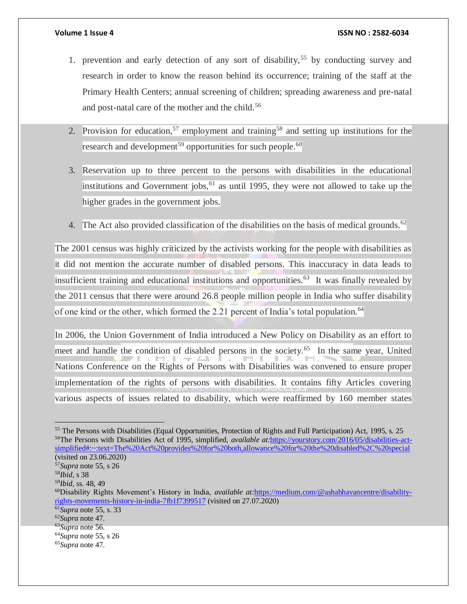- 1. prevention and early detection of any sort of disability,<sup>55</sup> by conducting survey and research in order to know the reason behind its occurrence; training of the staff at the Primary Health Centers; annual screening of children; spreading awareness and pre-natal and post-natal care of the mother and the child.<sup>56</sup>
- 2. Provision for education,<sup>57</sup> employment and training<sup>58</sup> and setting up institutions for the research and development<sup>59</sup> opportunities for such people.<sup>60</sup>
- 3. Reservation up to three percent to the persons with disabilities in the educational institutions and Government jobs,  $61$  as until 1995, they were not allowed to take up the higher grades in the government jobs.
- 4. The Act also provided classification of the disabilities on the basis of medical grounds.<sup>62</sup>

The 2001 census was highly criticized by the activists working for the people with disabilities as it did not mention the accurate number of disabled persons. This inaccuracy in data leads to insufficient training and educational institutions and opportunities. $63$  It was finally revealed by the 2011 census that there were around 26.8 people million people in India who suffer disability of one kind or the other, which formed the 2.21 percent of India's total population.<sup>64</sup>

In 2006, the Union Government of India introduced a New Policy on Disability as an effort to meet and handle the condition of disabled persons in the society.<sup>65</sup> In the same year, United Nations Conference on the Rights of Persons with Disabilities was convened to ensure proper implementation of the rights of persons with disabilities. It contains fifty Articles covering various aspects of issues related to disability, which were reaffirmed by 160 member states

<sup>55</sup> The Persons with Disabilities (Equal Opportunities, Protection of Rights and Full Participation) Act, 1995, s. 25 56The Persons with Disabilities Act of 1995, simplified, *available at:*[https://yourstory.com/2016/05/disabilities-act](https://yourstory.com/2016/05/disabilities-act-simplified#:~:text=The%20Act%20provides%20for%20both,allowance%20for%20the%20disabled%2C%20special)[simplified#:~:text=The%20Act%20provides%20for%20both,allowance%20for%20the%20disabled%2C%20special](https://yourstory.com/2016/05/disabilities-act-simplified#:~:text=The%20Act%20provides%20for%20both,allowance%20for%20the%20disabled%2C%20special) (visited on 23.06.2020) <sup>57</sup>*Supra* note 55, s 26

 $\overline{a}$ 

<sup>58</sup>*Ibid*, s 38

<sup>59</sup>*Ibid,* ss. 48, 49

<sup>60</sup>Disability Rights Movement's History in India, *available at:*[https://medium.com/@ashabhavancentre/disability](https://medium.com/@ashabhavancentre/disability-rights-movements-history-in-india-7fb1f7399517)[rights-movements-history-in-india-7fb1f7399517](https://medium.com/@ashabhavancentre/disability-rights-movements-history-in-india-7fb1f7399517) (visited on 27.07.2020)

<sup>61</sup>*Supra* note 55, s. 33

<sup>62</sup>*Supra* note 47.

<sup>63</sup>*Supra* note 56.

<sup>64</sup>*Supra* note 55, s 26

<sup>65</sup>*Supra* note 47.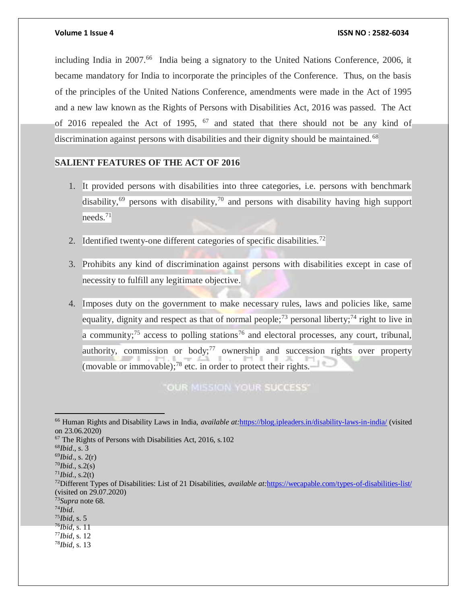including India in 2007.<sup>66</sup> India being a signatory to the United Nations Conference, 2006, it became mandatory for India to incorporate the principles of the Conference. Thus, on the basis of the principles of the United Nations Conference, amendments were made in the Act of 1995 and a new law known as the Rights of Persons with Disabilities Act, 2016 was passed. The Act of 2016 repealed the Act of 1995,  $^{67}$  and stated that there should not be any kind of discrimination against persons with disabilities and their dignity should be maintained.<sup>68</sup>

### **SALIENT FEATURES OF THE ACT OF 2016**

- 1. It provided persons with disabilities into three categories, i.e. persons with benchmark disability,<sup>69</sup> persons with disability,<sup>70</sup> and persons with disability having high support needs.<sup>71</sup>
- 2. Identified twenty-one different categories of specific disabilities.<sup>72</sup>
- 3. Prohibits any kind of discrimination against persons with disabilities except in case of necessity to fulfill any legitimate objective.
- 4. Imposes duty on the government to make necessary rules, laws and policies like, same equality, dignity and respect as that of normal people;<sup>73</sup> personal liberty;<sup>74</sup> right to live in a community; $^{75}$  access to polling stations<sup>76</sup> and electoral processes, any court, tribunal, authority, commission or body; $77$  ownership and succession rights over property (movable or immovable); $^{78}$  etc. in order to protect their rights.

"OUR MISSION YOUR SUCCESS"

 $\overline{a}$ 

- <sup>76</sup>*Ibid,* s. 11
- <sup>77</sup>*Ibid*, s. 12

<sup>66</sup> Human Rights and Disability Laws in India, *available at:*<https://blog.ipleaders.in/disability-laws-in-india/> (visited on 23.06.2020)

<sup>67</sup> The Rights of Persons with Disabilities Act, 2016, s.102

<sup>68</sup>*Ibid*., s. 3

<sup>69</sup>*Ibid*., s. 2(r)

<sup>70</sup>*Ibid.*, s.2(s)  $171$ *Ibid.*, s.2(t)

<sup>72</sup>Different Types of Disabilities: List of 21 Disabilities, *available at:*<https://wecapable.com/types-of-disabilities-list/> (visited on 29.07.2020)

<sup>73</sup>*Supra* note 68.

<sup>74</sup>*Ibid*.

<sup>75</sup>*Ibid*, s. 5

<sup>78</sup>*Ibid*, s. 13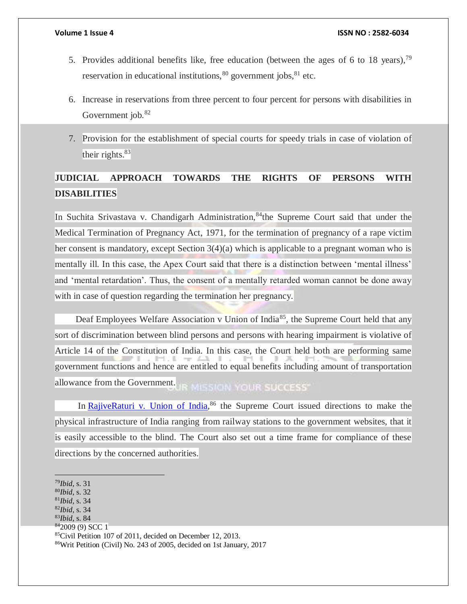- 5. Provides additional benefits like, free education (between the ages of 6 to 18 years),  $^{79}$ reservation in educational institutions,  $80$  government jobs,  $81$  etc.
- 6. Increase in reservations from three percent to four percent for persons with disabilities in Government job.<sup>82</sup>
- 7. Provision for the establishment of special courts for speedy trials in case of violation of their rights. $83$

# **JUDICIAL APPROACH TOWARDS THE RIGHTS OF PERSONS WITH DISABILITIES**

In Suchita Srivastava v. Chandigarh Administration, 84the Supreme Court said that under the Medical Termination of Pregnancy Act, 1971, for the termination of pregnancy of a rape victim her consent is mandatory, except Section 3(4)(a) which is applicable to a pregnant woman who is mentally ill. In this case, the Apex Court said that there is a distinction between 'mental illness' and 'mental retardation'. Thus, the consent of a mentally retarded woman cannot be done away with in case of question regarding the termination her pregnancy.

Deaf Employees Welfare Association v Union of India<sup>85</sup>, the Supreme Court held that any sort of discrimination between blind persons and persons with hearing impairment is violative of Article 14 of the Constitution of India. In this case, the Court held both are performing same government functions and hence are entitled to equal benefits including amount of transportation allowance from the Government. **R MISSION YOUR SUCCESS"** 

In [RajiveRaturi v. Union of India,](https://indiankanoon.org/doc/149818296/)<sup>86</sup> the Supreme Court issued directions to make the physical infrastructure of India ranging from railway stations to the government websites, that it is easily accessible to the blind. The Court also set out a time frame for compliance of these directions by the concerned authorities.

- <sup>81</sup>*Ibid*, s. 34
- <sup>82</sup>*Ibid*, s. 34 <sup>83</sup>*Ibid*, s. 84
- 
- <sup>84</sup>2009 (9) SCC 1

<sup>79</sup>*Ibid*, s. 31

<sup>80</sup>*Ibid*, s. 32

<sup>85</sup>Civil Petition 107 of 2011, decided on December 12, 2013.

<sup>86</sup>Writ Petition (Civil) No. 243 of 2005, decided on 1st January, 2017